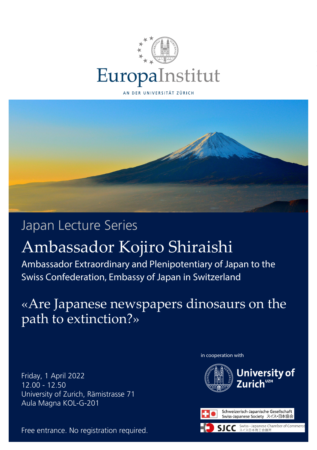



Japan Lecture Series

## Ambassador Kojiro Shiraishi

Ambassador Extraordinary and Plenipotentiary of Japan to the Swiss Confederation, Embassy of Japan in Switzerland

## «Are Japanese newspapers dinosaurs on the path to extinction?»

Friday, 1 April 2022 12.00 - 12.50 University of Zurich, Rämistrasse 71 Aula Magna KOL-G-201

Free entrance. No registration required.

in cooperation with





**SICC**